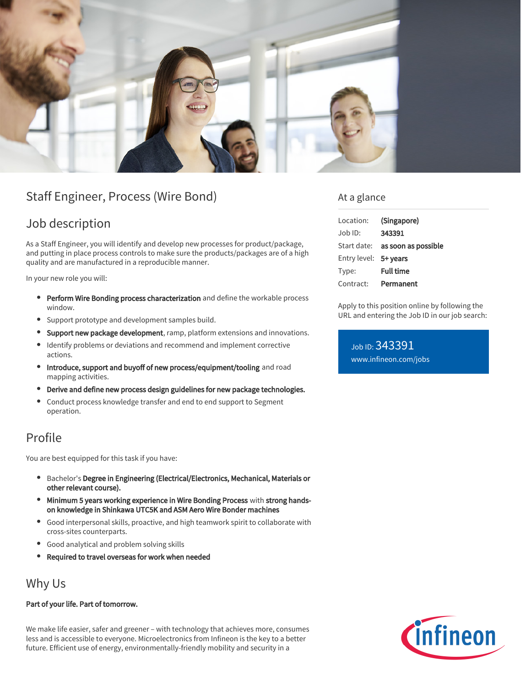

# Staff Engineer, Process (Wire Bond)

## Job description

As a Staff Engineer, you will identify and develop new processes for product/package, and putting in place process controls to make sure the products/packages are of a high quality and are manufactured in a reproducible manner.

In your new role you will:

- **Perform Wire Bonding process characterization** and define the workable process window.
- Support prototype and development samples build.
- Support new package development, ramp, platform extensions and innovations.
- Identify problems or deviations and recommend and implement corrective actions.
- Introduce, support and buyoff of new process/equipment/tooling and road  $\bullet$ mapping activities.
- Derive and define new process design guidelines for new package technologies.
- Conduct process knowledge transfer and end to end support to Segment  $\bullet$ operation.

## Profile

You are best equipped for this task if you have:

- Bachelor's Degree in Engineering (Electrical/Electronics, Mechanical, Materials or other relevant course).
- Minimum 5 years working experience in Wire Bonding Process with strong handson knowledge in Shinkawa UTC5K and ASM Aero Wire Bonder machines
- Good interpersonal skills, proactive, and high teamwork spirit to collaborate with cross-sites counterparts.
- Good analytical and problem solving skills
- Required to travel overseas for work when needed

## Why Us

#### Part of your life. Part of tomorrow.

We make life easier, safer and greener – with technology that achieves more, consumes less and is accessible to everyone. Microelectronics from Infineon is the key to a better future. Efficient use of energy, environmentally-friendly mobility and security in a

#### At a glance

| Location:             | (Singapore)                            |
|-----------------------|----------------------------------------|
| $Joh$ ID:             | 343391                                 |
|                       | Start date: <b>as soon as possible</b> |
| Entry level: 5+ years |                                        |
| Type:                 | <b>Full time</b>                       |
| Contract:             | Permanent                              |

Apply to this position online by following the URL and entering the Job ID in our job search:

Job ID: 343391 [www.infineon.com/jobs](https://www.infineon.com/jobs)